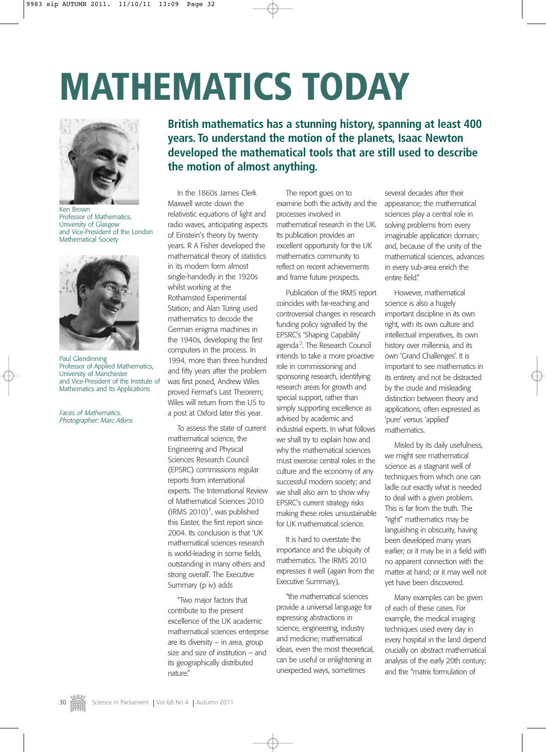## **MATHEMATICS TODAY**



Ken Brown Professor of Mathematics, University of Glasgow and Vice-President of the London Mathematical Society



Paul Glendinning Professor of Applied Mathematics, University of Manchester and Vice-President of the Institute of Mathematics and Its Applications

Faces of Mathematics. Photographer: Marc Atkins

**British mathematics has a stunning history, spanning at least 400 years. To understand the motion of the planets, Isaac Newton developed the mathematical tools that are still used to describe the motion of almost anything.** 

In the 1860s James Clerk Maxwell wrote down the relativistic equations of light and radio waves, anticipating aspects of Einstein's theory by twenty years. R A Fisher developed the mathematical theory of statistics in its modern form almost single-handedly in the 1920s whilst working at the Rothamsted Experimental Station; and Alan Turing used mathematics to decode the German enigma machines in the 1940s, developing the first computers in the process. In 1994, more than three hundred and fifty years after the problem was first posed, Andrew Wiles proved Fermat's Last Theorem; Wiles will return from the US to a post at Oxford later this year.

To assess the state of current mathematical science, the Engineering and Physical Sciences Research Council (EPSRC) commissions regular reports from international experts. The International Review of Mathematical Sciences 2010  $\left(\text{IRMS } 2010\right)^1$ , was published this Easter, the first report since 2004. Its conclusion is that 'UK mathematical sciences research is world-leading in some fields, outstanding in many others and strong overall'. The Executive Summary (p iv) adds

"Two major factors that contribute to the present excellence of the UK academic mathematical sciences enterprise are its diversity – in area, group size and size of institution – and its geographically distributed nature."

The report goes on to examine both the activity and the processes involved in mathematical research in the UK. Its publication provides an excellent opportunity for the UK mathematics community to reflect on recent achievements and frame future prospects.

Publication of the IRMS report coincides with far-reaching and controversial changes in research funding policy signalled by the EPSRC's 'Shaping Capability' agenda<sup>2</sup>. The Research Council intends to take a more proactive role in commissioning and sponsoring research, identifying research areas for growth and special support, rather than simply supporting excellence as advised by academic and industrial experts. In what follows we shall try to explain how and why the mathematical sciences must exercise central roles in the culture and the economy of any successful modern society; and we shall also aim to show why EPSRC's current strategy risks making these roles unsustainable for UK mathematical science.

It is hard to overstate the importance and the ubiquity of mathematics. The IRMS 2010 expresses it well (again from the Executive Summary),

"the mathematical sciences provide a universal language for expressing abstractions in science, engineering, industry and medicine; mathematical ideas, even the most theoretical, can be useful or enlightening in unexpected ways, sometimes

several decades after their appearance; the mathematical sciences play a central role in solving problems from every imaginable application domain; and, because of the unity of the mathematical sciences, advances in every sub-area enrich the entire field"

However, mathematical science is also a hugely important discipline in its own right, with its own culture and intellectual imperatives, its own history over millennia, and its own 'Grand Challenges'. It is important to see mathematics in its entirety and not be distracted by the crude and misleading distinction between theory and applications, often expressed as 'pure' versus 'applied' mathematics.

Misled by its daily usefulness, we might see mathematical science as a stagnant well of techniques from which one can ladle out exactly what is needed to deal with a given problem. This is far from the truth. The "right" mathematics may be languishing in obscurity, having been developed many years earlier; or it may be in a field with no apparent connection with the matter at hand; or it may well not yet have been discovered.

Many examples can be given of each of these cases. For example, the medical imaging techniques used every day in every hospital in the land depend crucially on abstract mathematical analysis of the early 20th century; and the "matrix formulation of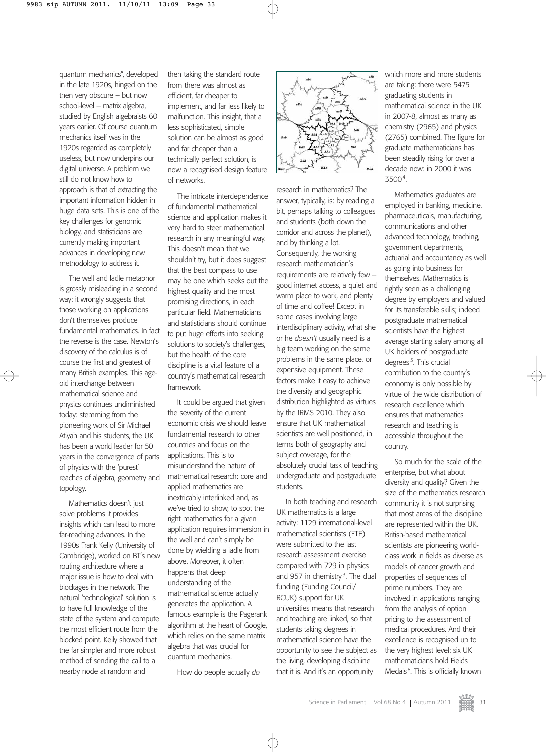quantum mechanics", developed in the late 1920s, hinged on the then very obscure – but now school-level – matrix algebra, studied by English algebraists 60 years earlier. Of course quantum mechanics itself was in the 1920s regarded as completely useless, but now underpins our digital universe. A problem we still do not know how to approach is that of extracting the important information hidden in huge data sets. This is one of the key challenges for genomic biology, and statisticians are currently making important advances in developing new methodology to address it.

The well and ladle metaphor is grossly misleading in a second way: it wrongly suggests that those working on applications don't themselves produce fundamental mathematics. In fact the reverse is the case. Newton's discovery of the calculus is of course the first and greatest of many British examples. This ageold interchange between mathematical science and physics continues undiminished today: stemming from the pioneering work of Sir Michael Atiyah and his students, the UK has been a world leader for 50 years in the convergence of parts of physics with the 'purest' reaches of algebra, geometry and topology.

Mathematics doesn't just solve problems it provides insights which can lead to more far-reaching advances. In the 1990s Frank Kelly (University of Cambridge), worked on BT's new routing architecture where a major issue is how to deal with blockages in the network. The natural 'technological' solution is to have full knowledge of the state of the system and compute the most efficient route from the blocked point. Kelly showed that the far simpler and more robust method of sending the call to a nearby node at random and

then taking the standard route from there was almost as efficient, far cheaper to implement, and far less likely to malfunction. This insight, that a less sophisticated, simple solution can be almost as good and far cheaper than a technically perfect solution, is now a recognised design feature of networks.

The intricate interdependence of fundamental mathematical science and application makes it very hard to steer mathematical research in any meaningful way. This doesn't mean that we shouldn't try, but it does suggest that the best compass to use may be one which seeks out the highest quality and the most promising directions, in each particular field. Mathematicians and statisticians should continue to put huge efforts into seeking solutions to society's challenges, but the health of the core discipline is a vital feature of a country's mathematical research framework.

It could be argued that given the severity of the current economic crisis we should leave fundamental research to other countries and focus on the applications. This is to misunderstand the nature of mathematical research: core and applied mathematics are inextricably interlinked and, as we've tried to show, to spot the right mathematics for a given application requires immersion in the well and can't simply be done by wielding a ladle from above. Moreover, it often happens that deep understanding of the mathematical science actually generates the application. A famous example is the Pagerank algorithm at the heart of Google, which relies on the same matrix algebra that was crucial for quantum mechanics.

How do people actually *do*



research in mathematics? The answer, typically, is: by reading a bit, perhaps talking to colleagues and students (both down the corridor and across the planet), and by thinking a lot. Consequently, the working research mathematician's requirements are relatively few – good internet access, a quiet and warm place to work, and plenty of time and coffee! Except in some cases involving large interdisciplinary activity, what she or he *doesn't* usually need is a big team working on the same problems in the same place, or expensive equipment. These factors make it easy to achieve the diversity and geographic distribution highlighted as virtues by the IRMS 2010. They also ensure that UK mathematical scientists are well positioned, in terms both of geography and subject coverage, for the absolutely crucial task of teaching undergraduate and postgraduate students.

In both teaching and research UK mathematics is a large activity: 1129 international-level mathematical scientists (FTE) were submitted to the last research assessment exercise compared with 729 in physics and 957 in chemistry<sup>3</sup>. The dual funding (Funding Council/ RCUK) support for UK universities means that research and teaching are linked, so that students taking degrees in mathematical science have the opportunity to see the subject as the living, developing discipline that it is. And it's an opportunity

which more and more students are taking: there were 5475 graduating students in mathematical science in the UK in 2007-8, almost as many as chemistry (2965) and physics (2765) combined. The figure for graduate mathematicians has been steadily rising for over a decade now: in 2000 it was 35004.

Mathematics graduates are employed in banking, medicine, pharmaceuticals, manufacturing, communications and other advanced technology, teaching, government departments, actuarial and accountancy as well as going into business for themselves. Mathematics is rightly seen as a challenging degree by employers and valued for its transferable skills; indeed postgraduate mathematical scientists have the highest average starting salary among all UK holders of postgraduate degrees<sup>5</sup>. This crucial contribution to the country's economy is only possible by virtue of the wide distribution of research excellence which ensures that mathematics research and teaching is accessible throughout the country.

So much for the scale of the enterprise, but what about diversity and quality? Given the size of the mathematics research community it is not surprising that most areas of the discipline are represented within the UK. British-based mathematical scientists are pioneering worldclass work in fields as diverse as models of cancer growth and properties of sequences of prime numbers. They are involved in applications ranging from the analysis of option pricing to the assessment of medical procedures. And their excellence is recognised up to the very highest level: six UK mathematicians hold Fields Medals<sup>6</sup>. This is officially known